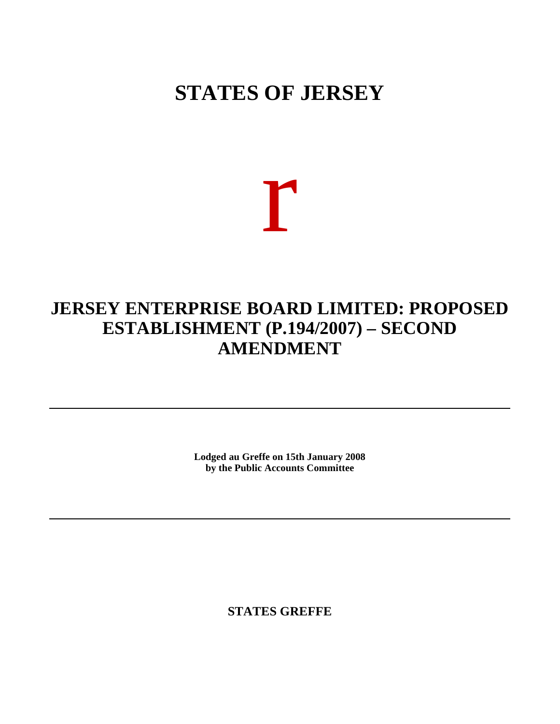## **STATES OF JERSEY**

# r

### **JERSEY ENTERPRISE BOARD LIMITED: PROPOSED ESTABLISHMENT (P.194/2007) – SECOND AMENDMENT**

**Lodged au Greffe on 15th January 2008 by the Public Accounts Committee**

**STATES GREFFE**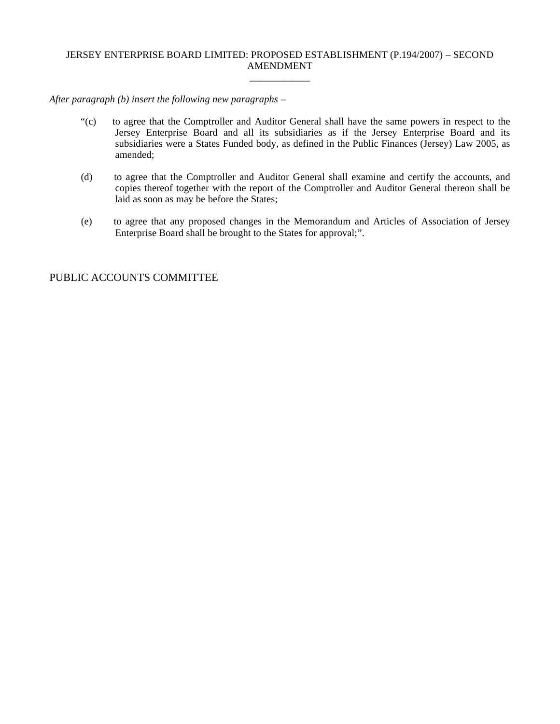#### JERSEY ENTERPRISE BOARD LIMITED: PROPOSED ESTABLISHMENT (P.194/2007) – SECOND AMENDMENT \_\_\_\_\_\_\_\_\_\_\_\_

*After paragraph (b) insert the following new paragraphs –*

- "(c) to agree that the Comptroller and Auditor General shall have the same powers in respect to the Jersey Enterprise Board and all its subsidiaries as if the Jersey Enterprise Board and its subsidiaries were a States Funded body, as defined in the Public Finances (Jersey) Law 2005, as amended;
- (d) to agree that the Comptroller and Auditor General shall examine and certify the accounts, and copies thereof together with the report of the Comptroller and Auditor General thereon shall be laid as soon as may be before the States;
- (e) to agree that any proposed changes in the Memorandum and Articles of Association of Jersey Enterprise Board shall be brought to the States for approval;".

#### PUBLIC ACCOUNTS COMMITTEE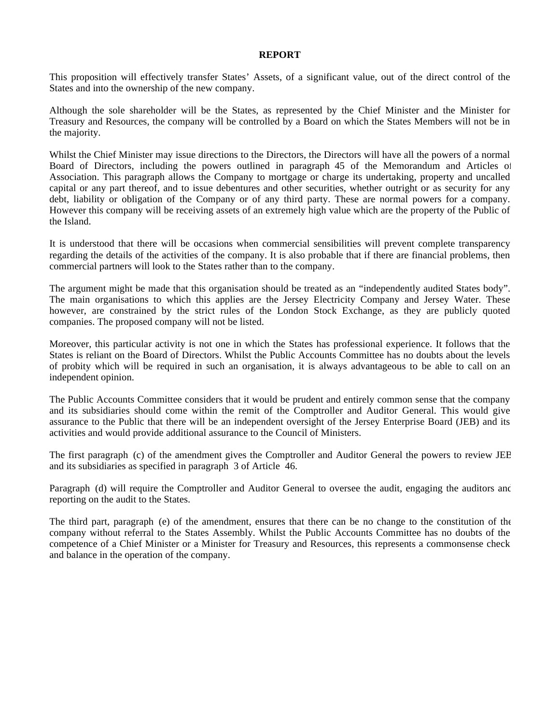#### **REPORT**

This proposition will effectively transfer States' Assets, of a significant value, out of the direct control of the States and into the ownership of the new company.

Although the sole shareholder will be the States, as represented by the Chief Minister and the Minister for Treasury and Resources, the company will be controlled by a Board on which the States Members will not be in the majority.

Whilst the Chief Minister may issue directions to the Directors, the Directors will have all the powers of a normal Board of Directors, including the powers outlined in paragraph 45 of the Memorandum and Articles of Association. This paragraph allows the Company to mortgage or charge its undertaking, property and uncalled capital or any part thereof, and to issue debentures and other securities, whether outright or as security for any debt, liability or obligation of the Company or of any third party. These are normal powers for a company. However this company will be receiving assets of an extremely high value which are the property of the Public of the Island.

It is understood that there will be occasions when commercial sensibilities will prevent complete transparency regarding the details of the activities of the company. It is also probable that if there are financial problems, then commercial partners will look to the States rather than to the company.

The argument might be made that this organisation should be treated as an "independently audited States body". The main organisations to which this applies are the Jersey Electricity Company and Jersey Water. These however, are constrained by the strict rules of the London Stock Exchange, as they are publicly quoted companies. The proposed company will not be listed.

Moreover, this particular activity is not one in which the States has professional experience. It follows that the States is reliant on the Board of Directors. Whilst the Public Accounts Committee has no doubts about the levels of probity which will be required in such an organisation, it is always advantageous to be able to call on an independent opinion.

The Public Accounts Committee considers that it would be prudent and entirely common sense that the company and its subsidiaries should come within the remit of the Comptroller and Auditor General. This would give assurance to the Public that there will be an independent oversight of the Jersey Enterprise Board (JEB) and its activities and would provide additional assurance to the Council of Ministers.

The first paragraph (c) of the amendment gives the Comptroller and Auditor General the powers to review JEB and its subsidiaries as specified in paragraph 3 of Article 46.

Paragraph (d) will require the Comptroller and Auditor General to oversee the audit, engaging the auditors and reporting on the audit to the States.

The third part, paragraph (e) of the amendment, ensures that there can be no change to the constitution of the company without referral to the States Assembly. Whilst the Public Accounts Committee has no doubts of the competence of a Chief Minister or a Minister for Treasury and Resources, this represents a commonsense check and balance in the operation of the company.